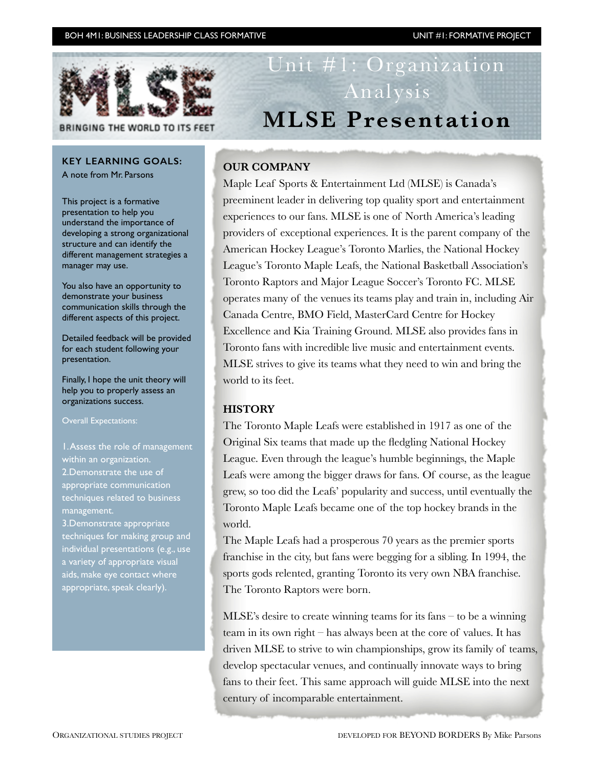# BOH 4M1: BUSINESS LEADERSHIP CLASS FORMATIVE UNIT #1: FORMATIVE PROJECT



BRINGING THE WORLD TO ITS FEET

# **KEY LEARNING GOALS:**

A note from Mr. Parsons

This project is a formative presentation to help you understand the importance of developing a strong organizational structure and can identify the different management strategies a manager may use.

You also have an opportunity to demonstrate your business communication skills through the different aspects of this project.

Detailed feedback will be provided for each student following your presentation.

Finally, I hope the unit theory will help you to properly assess an organizations success.

Overall Expectations:

1. Assess the role of management within an organization. 2.Demonstrate the use of appropriate communication techniques related to business management.

3.Demonstrate appropriate techniques for making group and individual presentations (e.g., use a variety of appropriate visual aids, make eye contact where appropriate, speak clearly).

# Unit #1: Organization Analysis **MLSE Presentation**

# **OUR COMPANY**

Maple Leaf Sports & Entertainment Ltd (MLSE) is Canada's preeminent leader in delivering top quality sport and entertainment experiences to our fans. MLSE is one of North America's leading providers of exceptional experiences. It is the parent company of the American Hockey League's Toronto Marlies, the National Hockey League's Toronto Maple Leafs, the National Basketball Association's Toronto Raptors and Major League Soccer's Toronto FC. MLSE operates many of the venues its teams play and train in, including Air Canada Centre, BMO Field, MasterCard Centre for Hockey Excellence and Kia Training Ground. MLSE also provides fans in Toronto fans with incredible live music and entertainment events. MLSE strives to give its teams what they need to win and bring the world to its feet.

# **HISTORY**

The Toronto Maple Leafs were established in 1917 as one of the Original Six teams that made up the fledgling National Hockey League. Even through the league's humble beginnings, the Maple Leafs were among the bigger draws for fans. Of course, as the league grew, so too did the Leafs' popularity and success, until eventually the Toronto Maple Leafs became one of the top hockey brands in the world.

The Maple Leafs had a prosperous 70 years as the premier sports franchise in the city, but fans were begging for a sibling. In 1994, the sports gods relented, granting Toronto its very own NBA franchise. The Toronto Raptors were born.

MLSE's desire to create winning teams for its fans – to be a winning team in its own right – has always been at the core of values. It has driven MLSE to strive to win championships, grow its family of teams, develop spectacular venues, and continually innovate ways to bring fans to their feet. This same approach will guide MLSE into the next century of incomparable entertainment.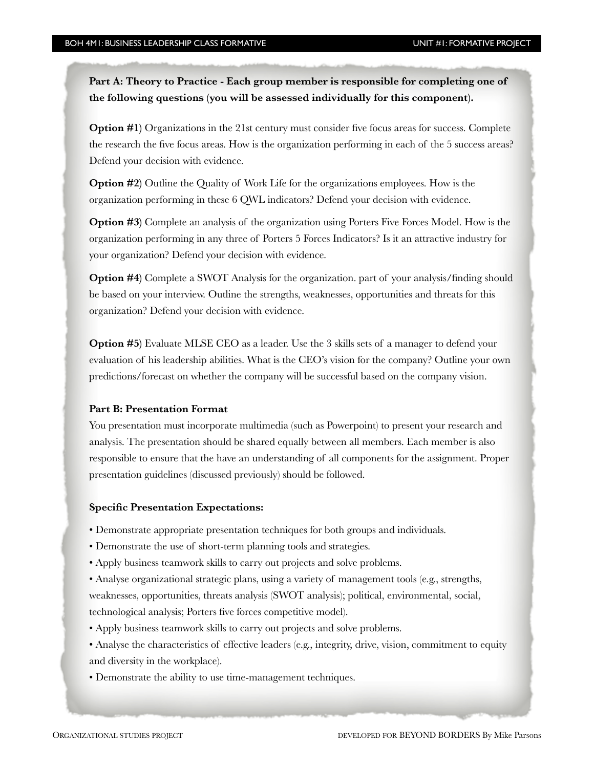**Part A: Theory to Practice - Each group member is responsible for completing one of the following questions (you will be assessed individually for this component).** 

**Option #1)** Organizations in the 21st century must consider five focus areas for success. Complete the research the five focus areas. How is the organization performing in each of the 5 success areas? Defend your decision with evidence.

**Option #2)** Outline the Quality of Work Life for the organizations employees. How is the organization performing in these 6 QWL indicators? Defend your decision with evidence.

**Option #3)** Complete an analysis of the organization using Porters Five Forces Model. How is the organization performing in any three of Porters 5 Forces Indicators? Is it an attractive industry for your organization? Defend your decision with evidence.

**Option #4)** Complete a SWOT Analysis for the organization. part of your analysis/finding should be based on your interview. Outline the strengths, weaknesses, opportunities and threats for this organization? Defend your decision with evidence.

**Option #5)** Evaluate MLSE CEO as a leader. Use the 3 skills sets of a manager to defend your evaluation of his leadership abilities. What is the CEO's vision for the company? Outline your own predictions/forecast on whether the company will be successful based on the company vision.

#### **Part B: Presentation Format**

You presentation must incorporate multimedia (such as Powerpoint) to present your research and analysis. The presentation should be shared equally between all members. Each member is also responsible to ensure that the have an understanding of all components for the assignment. Proper presentation guidelines (discussed previously) should be followed.

#### **Specific Presentation Expectations:**

- Demonstrate appropriate presentation techniques for both groups and individuals.
- Demonstrate the use of short-term planning tools and strategies.
- Apply business teamwork skills to carry out projects and solve problems.

• Analyse organizational strategic plans, using a variety of management tools (e.g., strengths, weaknesses, opportunities, threats analysis (SWOT analysis); political, environmental, social, technological analysis; Porters five forces competitive model).

- Apply business teamwork skills to carry out projects and solve problems.
- Analyse the characteristics of effective leaders (e.g., integrity, drive, vision, commitment to equity and diversity in the workplace).
- Demonstrate the ability to use time-management techniques.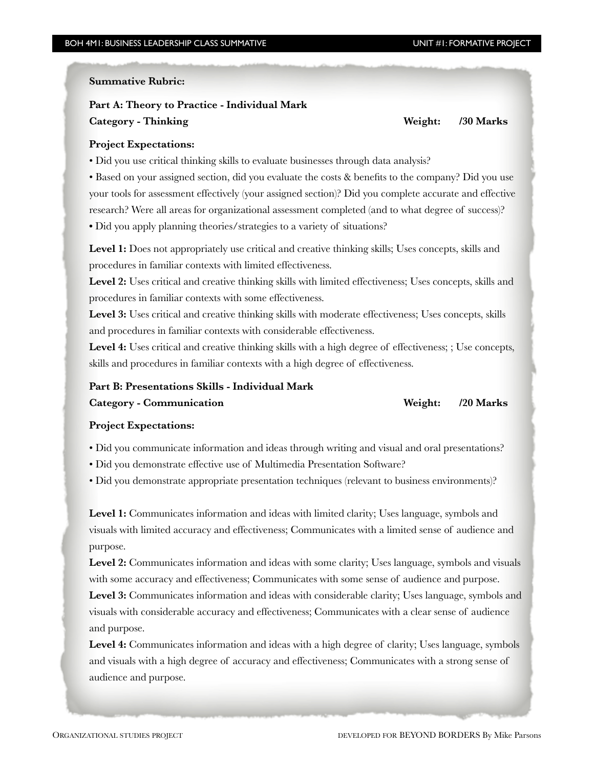#### **Summative Rubric:**

# **Part A: Theory to Practice - Individual Mark Category - Thinking Weight: /30 Marks**

# **Project Expectations:**

• Did you use critical thinking skills to evaluate businesses through data analysis?

• Based on your assigned section, did you evaluate the costs & benefits to the company? Did you use your tools for assessment effectively (your assigned section)? Did you complete accurate and effective research? Were all areas for organizational assessment completed (and to what degree of success)? • Did you apply planning theories/strategies to a variety of situations?

Level 1: Does not appropriately use critical and creative thinking skills; Uses concepts, skills and procedures in familiar contexts with limited effectiveness.

Level 2: Uses critical and creative thinking skills with limited effectiveness; Uses concepts, skills and procedures in familiar contexts with some effectiveness.

Level 3: Uses critical and creative thinking skills with moderate effectiveness; Uses concepts, skills and procedures in familiar contexts with considerable effectiveness.

Level 4: Uses critical and creative thinking skills with a high degree of effectiveness; ; Use concepts, skills and procedures in familiar contexts with a high degree of effectiveness.

# **Part B: Presentations Skills - Individual Mark**

**Category - Communication** *Category - Communication**Media 100 Marks**Media 100 Marks**Media 100 Marks**Media 100 Marks**Media 100 Marks**Media 100 Marks**Media 100 Marks**Media 100 Marks**Media 100 Marks**Medi* 

# **Project Expectations:**

• Did you communicate information and ideas through writing and visual and oral presentations?

- Did you demonstrate effective use of Multimedia Presentation Software?
- Did you demonstrate appropriate presentation techniques (relevant to business environments)?

Level 1: Communicates information and ideas with limited clarity; Uses language, symbols and visuals with limited accuracy and effectiveness; Communicates with a limited sense of audience and purpose.

Level 2: Communicates information and ideas with some clarity; Uses language, symbols and visuals with some accuracy and effectiveness; Communicates with some sense of audience and purpose.

Level 3: Communicates information and ideas with considerable clarity; Uses language, symbols and visuals with considerable accuracy and effectiveness; Communicates with a clear sense of audience and purpose.

Level 4: Communicates information and ideas with a high degree of clarity; Uses language, symbols and visuals with a high degree of accuracy and effectiveness; Communicates with a strong sense of audience and purpose.